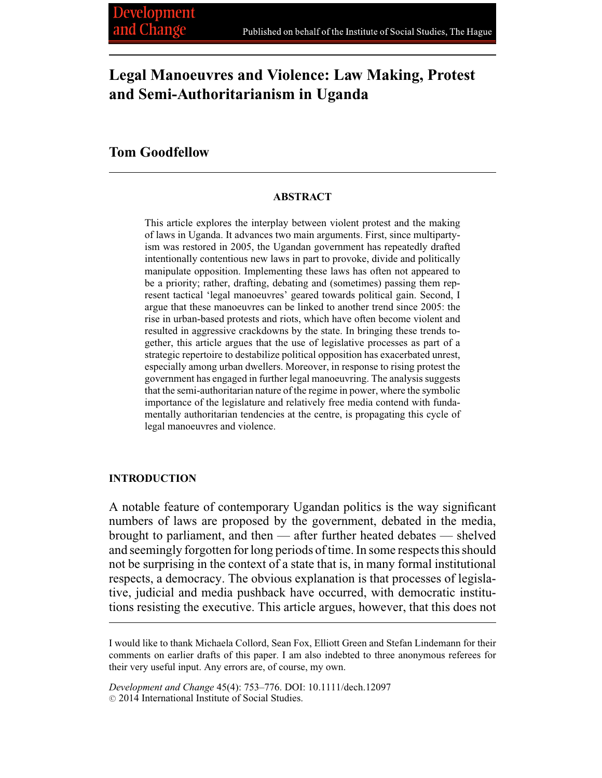# **Legal Manoeuvres and Violence: Law Making, Protest and Semi-Authoritarianism in Uganda**

## **Tom Goodfellow**

## **ABSTRACT**

This article explores the interplay between violent protest and the making of laws in Uganda. It advances two main arguments. First, since multipartyism was restored in 2005, the Ugandan government has repeatedly drafted intentionally contentious new laws in part to provoke, divide and politically manipulate opposition. Implementing these laws has often not appeared to be a priority; rather, drafting, debating and (sometimes) passing them represent tactical 'legal manoeuvres' geared towards political gain. Second, I argue that these manoeuvres can be linked to another trend since 2005: the rise in urban-based protests and riots, which have often become violent and resulted in aggressive crackdowns by the state. In bringing these trends together, this article argues that the use of legislative processes as part of a strategic repertoire to destabilize political opposition has exacerbated unrest, especially among urban dwellers. Moreover, in response to rising protest the government has engaged in further legal manoeuvring. The analysis suggests that the semi-authoritarian nature of the regime in power, where the symbolic importance of the legislature and relatively free media contend with fundamentally authoritarian tendencies at the centre, is propagating this cycle of legal manoeuvres and violence.

## **INTRODUCTION**

A notable feature of contemporary Ugandan politics is the way significant numbers of laws are proposed by the government, debated in the media, brought to parliament, and then — after further heated debates — shelved and seemingly forgotten for long periods of time. In some respects this should not be surprising in the context of a state that is, in many formal institutional respects, a democracy. The obvious explanation is that processes of legislative, judicial and media pushback have occurred, with democratic institutions resisting the executive. This article argues, however, that this does not

I would like to thank Michaela Collord, Sean Fox, Elliott Green and Stefan Lindemann for their comments on earlier drafts of this paper. I am also indebted to three anonymous referees for their very useful input. Any errors are, of course, my own.

*Development and Change* 45(4): 753–776. DOI: 10.1111/dech.12097 ⃝<sup>C</sup> 2014 International Institute of Social Studies.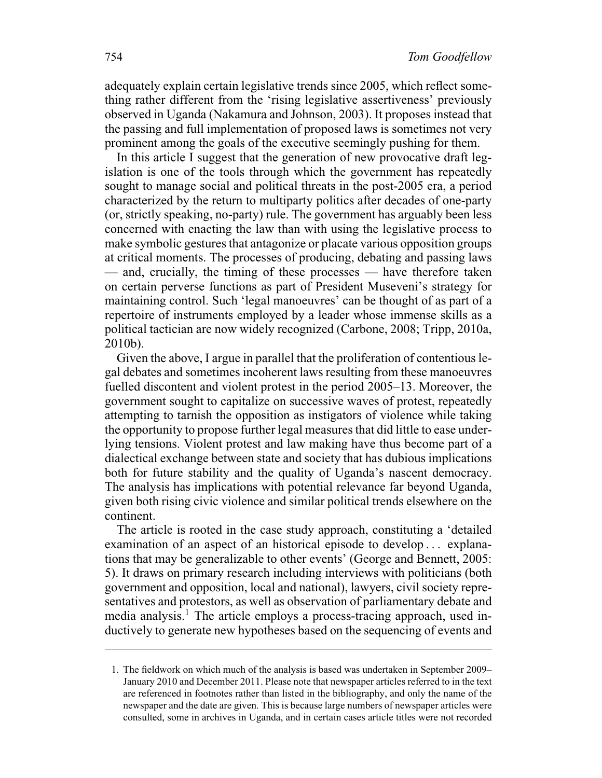adequately explain certain legislative trends since 2005, which reflect something rather different from the 'rising legislative assertiveness' previously observed in Uganda (Nakamura and Johnson, 2003). It proposes instead that the passing and full implementation of proposed laws is sometimes not very prominent among the goals of the executive seemingly pushing for them.

In this article I suggest that the generation of new provocative draft legislation is one of the tools through which the government has repeatedly sought to manage social and political threats in the post-2005 era, a period characterized by the return to multiparty politics after decades of one-party (or, strictly speaking, no-party) rule. The government has arguably been less concerned with enacting the law than with using the legislative process to make symbolic gestures that antagonize or placate various opposition groups at critical moments. The processes of producing, debating and passing laws — and, crucially, the timing of these processes — have therefore taken on certain perverse functions as part of President Museveni's strategy for maintaining control. Such 'legal manoeuvres' can be thought of as part of a repertoire of instruments employed by a leader whose immense skills as a political tactician are now widely recognized (Carbone, 2008; Tripp, 2010a, 2010b).

Given the above, I argue in parallel that the proliferation of contentious legal debates and sometimes incoherent laws resulting from these manoeuvres fuelled discontent and violent protest in the period 2005–13. Moreover, the government sought to capitalize on successive waves of protest, repeatedly attempting to tarnish the opposition as instigators of violence while taking the opportunity to propose further legal measures that did little to ease underlying tensions. Violent protest and law making have thus become part of a dialectical exchange between state and society that has dubious implications both for future stability and the quality of Uganda's nascent democracy. The analysis has implications with potential relevance far beyond Uganda, given both rising civic violence and similar political trends elsewhere on the continent.

The article is rooted in the case study approach, constituting a 'detailed examination of an aspect of an historical episode to develop . . . explanations that may be generalizable to other events' (George and Bennett, 2005: 5). It draws on primary research including interviews with politicians (both government and opposition, local and national), lawyers, civil society representatives and protestors, as well as observation of parliamentary debate and media analysis.<sup>1</sup> The article employs a process-tracing approach, used inductively to generate new hypotheses based on the sequencing of events and

<sup>1.</sup> The fieldwork on which much of the analysis is based was undertaken in September 2009– January 2010 and December 2011. Please note that newspaper articles referred to in the text are referenced in footnotes rather than listed in the bibliography, and only the name of the newspaper and the date are given. This is because large numbers of newspaper articles were consulted, some in archives in Uganda, and in certain cases article titles were not recorded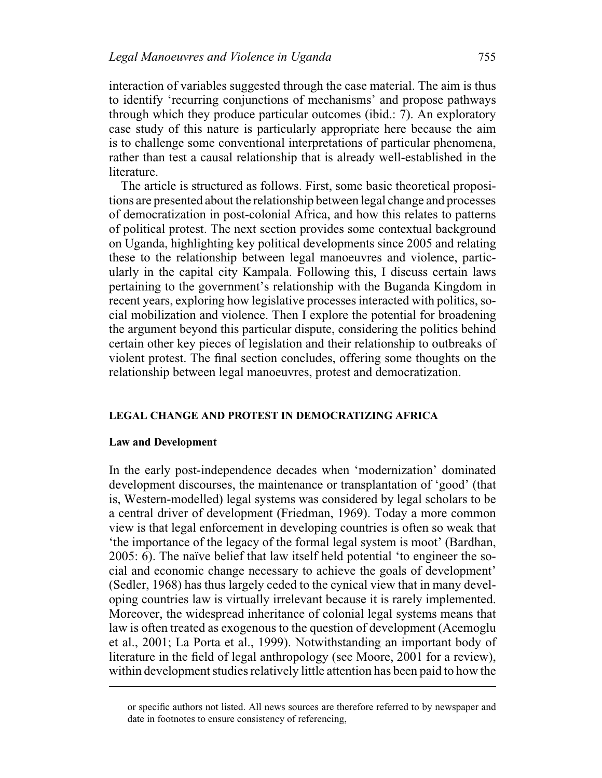interaction of variables suggested through the case material. The aim is thus to identify 'recurring conjunctions of mechanisms' and propose pathways through which they produce particular outcomes (ibid.: 7). An exploratory case study of this nature is particularly appropriate here because the aim is to challenge some conventional interpretations of particular phenomena, rather than test a causal relationship that is already well-established in the literature.

The article is structured as follows. First, some basic theoretical propositions are presented about the relationship between legal change and processes of democratization in post-colonial Africa, and how this relates to patterns of political protest. The next section provides some contextual background on Uganda, highlighting key political developments since 2005 and relating these to the relationship between legal manoeuvres and violence, particularly in the capital city Kampala. Following this, I discuss certain laws pertaining to the government's relationship with the Buganda Kingdom in recent years, exploring how legislative processes interacted with politics, social mobilization and violence. Then I explore the potential for broadening the argument beyond this particular dispute, considering the politics behind certain other key pieces of legislation and their relationship to outbreaks of violent protest. The final section concludes, offering some thoughts on the relationship between legal manoeuvres, protest and democratization.

## **LEGAL CHANGE AND PROTEST IN DEMOCRATIZING AFRICA**

### **Law and Development**

In the early post-independence decades when 'modernization' dominated development discourses, the maintenance or transplantation of 'good' (that is, Western-modelled) legal systems was considered by legal scholars to be a central driver of development (Friedman, 1969). Today a more common view is that legal enforcement in developing countries is often so weak that 'the importance of the legacy of the formal legal system is moot' (Bardhan, 2005: 6). The naïve belief that law itself held potential 'to engineer the social and economic change necessary to achieve the goals of development' (Sedler, 1968) has thus largely ceded to the cynical view that in many developing countries law is virtually irrelevant because it is rarely implemented. Moreover, the widespread inheritance of colonial legal systems means that law is often treated as exogenous to the question of development (Acemoglu et al., 2001; La Porta et al., 1999). Notwithstanding an important body of literature in the field of legal anthropology (see Moore, 2001 for a review), within development studies relatively little attention has been paid to how the

or specific authors not listed. All news sources are therefore referred to by newspaper and date in footnotes to ensure consistency of referencing,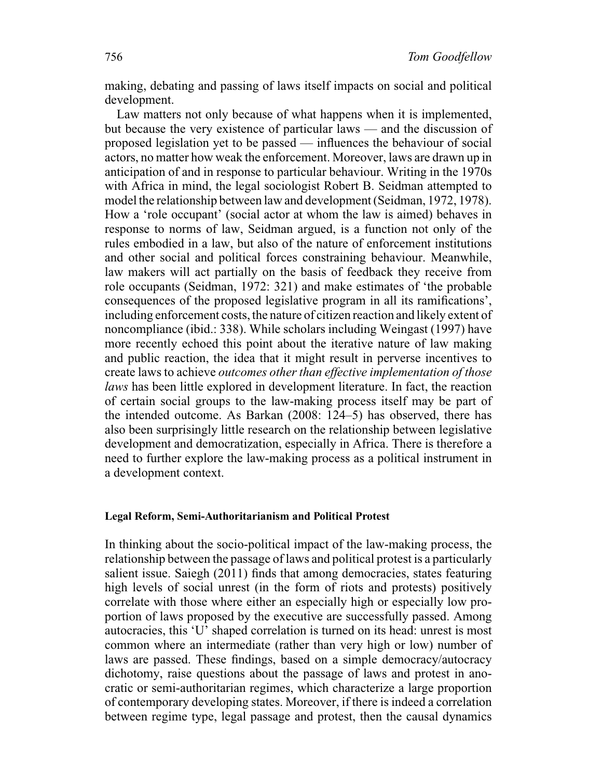making, debating and passing of laws itself impacts on social and political development.

Law matters not only because of what happens when it is implemented, but because the very existence of particular laws — and the discussion of proposed legislation yet to be passed — influences the behaviour of social actors, no matter how weak the enforcement. Moreover, laws are drawn up in anticipation of and in response to particular behaviour. Writing in the 1970s with Africa in mind, the legal sociologist Robert B. Seidman attempted to model the relationship between law and development (Seidman, 1972, 1978). How a 'role occupant' (social actor at whom the law is aimed) behaves in response to norms of law, Seidman argued, is a function not only of the rules embodied in a law, but also of the nature of enforcement institutions and other social and political forces constraining behaviour. Meanwhile, law makers will act partially on the basis of feedback they receive from role occupants (Seidman, 1972: 321) and make estimates of 'the probable consequences of the proposed legislative program in all its ramifications', including enforcement costs, the nature of citizen reaction and likely extent of noncompliance (ibid.: 338). While scholars including Weingast (1997) have more recently echoed this point about the iterative nature of law making and public reaction, the idea that it might result in perverse incentives to create laws to achieve *outcomes other than effective implementation of those laws* has been little explored in development literature. In fact, the reaction of certain social groups to the law-making process itself may be part of the intended outcome. As Barkan (2008: 124–5) has observed, there has also been surprisingly little research on the relationship between legislative development and democratization, especially in Africa. There is therefore a need to further explore the law-making process as a political instrument in a development context.

### **Legal Reform, Semi-Authoritarianism and Political Protest**

In thinking about the socio-political impact of the law-making process, the relationship between the passage of laws and political protest is a particularly salient issue. Saiegh (2011) finds that among democracies, states featuring high levels of social unrest (in the form of riots and protests) positively correlate with those where either an especially high or especially low proportion of laws proposed by the executive are successfully passed. Among autocracies, this 'U' shaped correlation is turned on its head: unrest is most common where an intermediate (rather than very high or low) number of laws are passed. These findings, based on a simple democracy/autocracy dichotomy, raise questions about the passage of laws and protest in anocratic or semi-authoritarian regimes, which characterize a large proportion of contemporary developing states. Moreover, if there is indeed a correlation between regime type, legal passage and protest, then the causal dynamics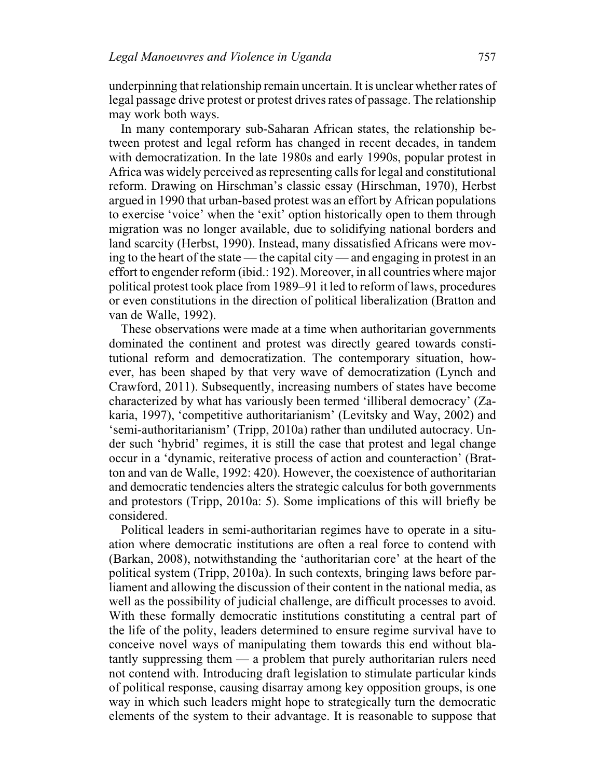underpinning that relationship remain uncertain. It is unclear whether rates of legal passage drive protest or protest drives rates of passage. The relationship may work both ways.

In many contemporary sub-Saharan African states, the relationship between protest and legal reform has changed in recent decades, in tandem with democratization. In the late 1980s and early 1990s, popular protest in Africa was widely perceived as representing calls for legal and constitutional reform. Drawing on Hirschman's classic essay (Hirschman, 1970), Herbst argued in 1990 that urban-based protest was an effort by African populations to exercise 'voice' when the 'exit' option historically open to them through migration was no longer available, due to solidifying national borders and land scarcity (Herbst, 1990). Instead, many dissatisfied Africans were moving to the heart of the state — the capital city — and engaging in protest in an effort to engender reform (ibid.: 192). Moreover, in all countries where major political protest took place from 1989–91 it led to reform of laws, procedures or even constitutions in the direction of political liberalization (Bratton and van de Walle, 1992).

These observations were made at a time when authoritarian governments dominated the continent and protest was directly geared towards constitutional reform and democratization. The contemporary situation, however, has been shaped by that very wave of democratization (Lynch and Crawford, 2011). Subsequently, increasing numbers of states have become characterized by what has variously been termed 'illiberal democracy' (Zakaria, 1997), 'competitive authoritarianism' (Levitsky and Way, 2002) and 'semi-authoritarianism' (Tripp, 2010a) rather than undiluted autocracy. Under such 'hybrid' regimes, it is still the case that protest and legal change occur in a 'dynamic, reiterative process of action and counteraction' (Bratton and van de Walle, 1992: 420). However, the coexistence of authoritarian and democratic tendencies alters the strategic calculus for both governments and protestors (Tripp, 2010a: 5). Some implications of this will briefly be considered.

Political leaders in semi-authoritarian regimes have to operate in a situation where democratic institutions are often a real force to contend with (Barkan, 2008), notwithstanding the 'authoritarian core' at the heart of the political system (Tripp, 2010a). In such contexts, bringing laws before parliament and allowing the discussion of their content in the national media, as well as the possibility of judicial challenge, are difficult processes to avoid. With these formally democratic institutions constituting a central part of the life of the polity, leaders determined to ensure regime survival have to conceive novel ways of manipulating them towards this end without blatantly suppressing them — a problem that purely authoritarian rulers need not contend with. Introducing draft legislation to stimulate particular kinds of political response, causing disarray among key opposition groups, is one way in which such leaders might hope to strategically turn the democratic elements of the system to their advantage. It is reasonable to suppose that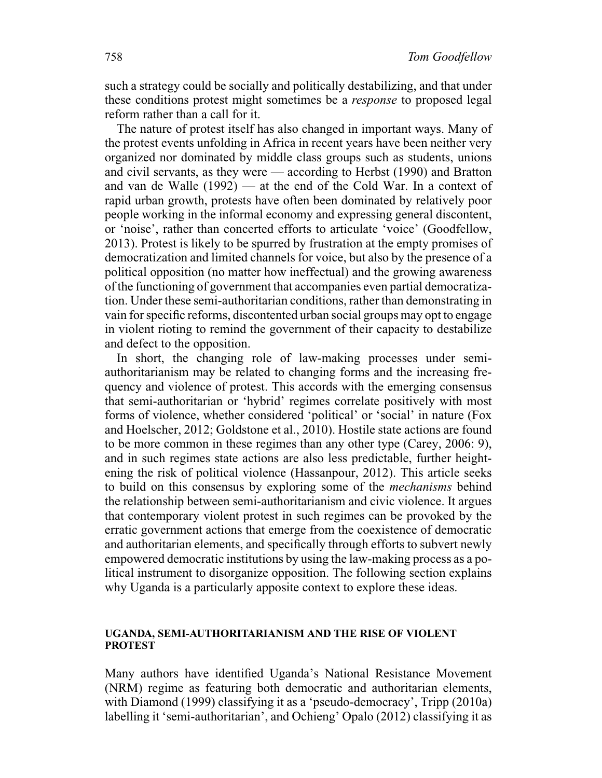such a strategy could be socially and politically destabilizing, and that under these conditions protest might sometimes be a *response* to proposed legal reform rather than a call for it.

The nature of protest itself has also changed in important ways. Many of the protest events unfolding in Africa in recent years have been neither very organized nor dominated by middle class groups such as students, unions and civil servants, as they were — according to Herbst (1990) and Bratton and van de Walle (1992) — at the end of the Cold War. In a context of rapid urban growth, protests have often been dominated by relatively poor people working in the informal economy and expressing general discontent, or 'noise', rather than concerted efforts to articulate 'voice' (Goodfellow, 2013). Protest is likely to be spurred by frustration at the empty promises of democratization and limited channels for voice, but also by the presence of a political opposition (no matter how ineffectual) and the growing awareness of the functioning of government that accompanies even partial democratization. Under these semi-authoritarian conditions, rather than demonstrating in vain for specific reforms, discontented urban social groups may opt to engage in violent rioting to remind the government of their capacity to destabilize and defect to the opposition.

In short, the changing role of law-making processes under semiauthoritarianism may be related to changing forms and the increasing frequency and violence of protest. This accords with the emerging consensus that semi-authoritarian or 'hybrid' regimes correlate positively with most forms of violence, whether considered 'political' or 'social' in nature (Fox and Hoelscher, 2012; Goldstone et al., 2010). Hostile state actions are found to be more common in these regimes than any other type (Carey, 2006: 9), and in such regimes state actions are also less predictable, further heightening the risk of political violence (Hassanpour, 2012). This article seeks to build on this consensus by exploring some of the *mechanisms* behind the relationship between semi-authoritarianism and civic violence. It argues that contemporary violent protest in such regimes can be provoked by the erratic government actions that emerge from the coexistence of democratic and authoritarian elements, and specifically through efforts to subvert newly empowered democratic institutions by using the law-making process as a political instrument to disorganize opposition. The following section explains why Uganda is a particularly apposite context to explore these ideas.

## **UGANDA, SEMI-AUTHORITARIANISM AND THE RISE OF VIOLENT PROTEST**

Many authors have identified Uganda's National Resistance Movement (NRM) regime as featuring both democratic and authoritarian elements, with Diamond (1999) classifying it as a 'pseudo-democracy', Tripp (2010a) labelling it 'semi-authoritarian', and Ochieng' Opalo (2012) classifying it as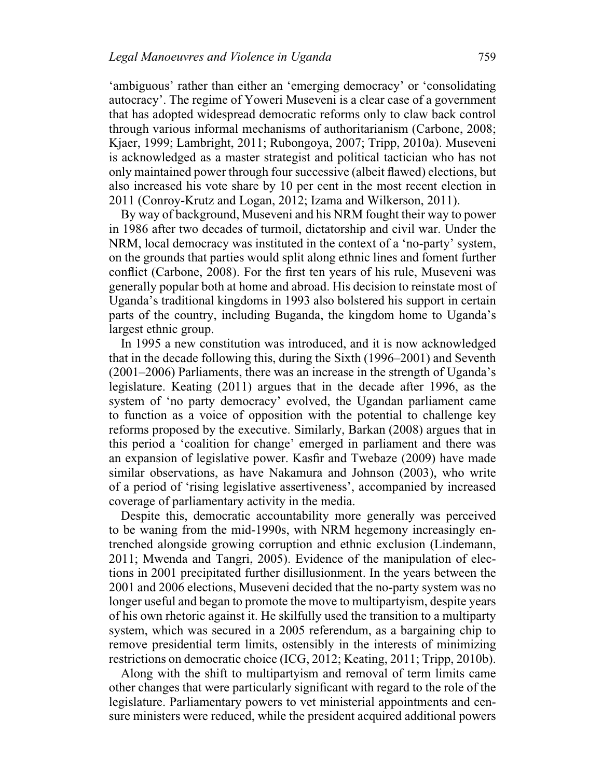'ambiguous' rather than either an 'emerging democracy' or 'consolidating autocracy'. The regime of Yoweri Museveni is a clear case of a government that has adopted widespread democratic reforms only to claw back control through various informal mechanisms of authoritarianism (Carbone, 2008; Kjaer, 1999; Lambright, 2011; Rubongoya, 2007; Tripp, 2010a). Museveni is acknowledged as a master strategist and political tactician who has not only maintained power through four successive (albeit flawed) elections, but also increased his vote share by 10 per cent in the most recent election in 2011 (Conroy-Krutz and Logan, 2012; Izama and Wilkerson, 2011).

By way of background, Museveni and his NRM fought their way to power in 1986 after two decades of turmoil, dictatorship and civil war. Under the NRM, local democracy was instituted in the context of a 'no-party' system, on the grounds that parties would split along ethnic lines and foment further conflict (Carbone, 2008). For the first ten years of his rule, Museveni was generally popular both at home and abroad. His decision to reinstate most of Uganda's traditional kingdoms in 1993 also bolstered his support in certain parts of the country, including Buganda, the kingdom home to Uganda's largest ethnic group.

In 1995 a new constitution was introduced, and it is now acknowledged that in the decade following this, during the Sixth (1996–2001) and Seventh (2001–2006) Parliaments, there was an increase in the strength of Uganda's legislature. Keating (2011) argues that in the decade after 1996, as the system of 'no party democracy' evolved, the Ugandan parliament came to function as a voice of opposition with the potential to challenge key reforms proposed by the executive. Similarly, Barkan (2008) argues that in this period a 'coalition for change' emerged in parliament and there was an expansion of legislative power. Kasfir and Twebaze (2009) have made similar observations, as have Nakamura and Johnson (2003), who write of a period of 'rising legislative assertiveness', accompanied by increased coverage of parliamentary activity in the media.

Despite this, democratic accountability more generally was perceived to be waning from the mid-1990s, with NRM hegemony increasingly entrenched alongside growing corruption and ethnic exclusion (Lindemann, 2011; Mwenda and Tangri, 2005). Evidence of the manipulation of elections in 2001 precipitated further disillusionment. In the years between the 2001 and 2006 elections, Museveni decided that the no-party system was no longer useful and began to promote the move to multipartyism, despite years of his own rhetoric against it. He skilfully used the transition to a multiparty system, which was secured in a 2005 referendum, as a bargaining chip to remove presidential term limits, ostensibly in the interests of minimizing restrictions on democratic choice (ICG, 2012; Keating, 2011; Tripp, 2010b).

Along with the shift to multipartyism and removal of term limits came other changes that were particularly significant with regard to the role of the legislature. Parliamentary powers to vet ministerial appointments and censure ministers were reduced, while the president acquired additional powers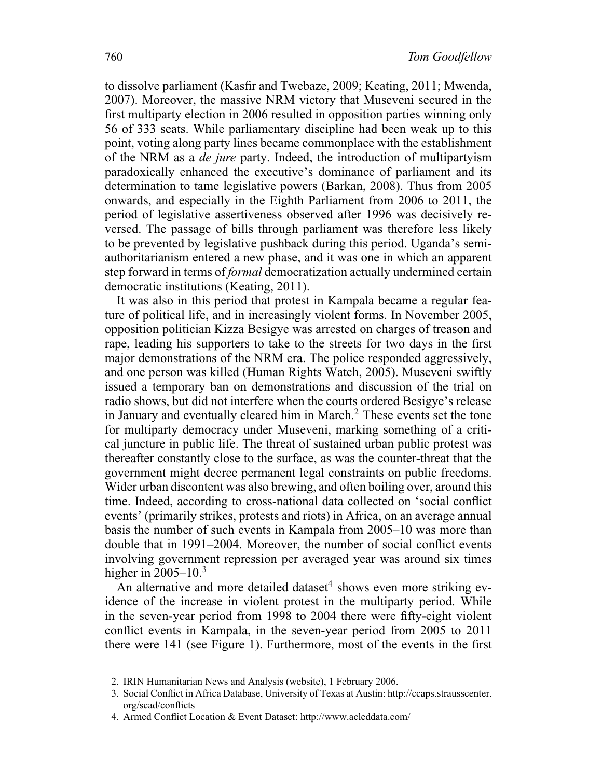to dissolve parliament (Kasfir and Twebaze, 2009; Keating, 2011; Mwenda, 2007). Moreover, the massive NRM victory that Museveni secured in the first multiparty election in 2006 resulted in opposition parties winning only 56 of 333 seats. While parliamentary discipline had been weak up to this point, voting along party lines became commonplace with the establishment of the NRM as a *de jure* party. Indeed, the introduction of multipartyism paradoxically enhanced the executive's dominance of parliament and its determination to tame legislative powers (Barkan, 2008). Thus from 2005 onwards, and especially in the Eighth Parliament from 2006 to 2011, the period of legislative assertiveness observed after 1996 was decisively reversed. The passage of bills through parliament was therefore less likely to be prevented by legislative pushback during this period. Uganda's semiauthoritarianism entered a new phase, and it was one in which an apparent step forward in terms of *formal* democratization actually undermined certain democratic institutions (Keating, 2011).

It was also in this period that protest in Kampala became a regular feature of political life, and in increasingly violent forms. In November 2005, opposition politician Kizza Besigye was arrested on charges of treason and rape, leading his supporters to take to the streets for two days in the first major demonstrations of the NRM era. The police responded aggressively, and one person was killed (Human Rights Watch, 2005). Museveni swiftly issued a temporary ban on demonstrations and discussion of the trial on radio shows, but did not interfere when the courts ordered Besigye's release in January and eventually cleared him in March.2 These events set the tone for multiparty democracy under Museveni, marking something of a critical juncture in public life. The threat of sustained urban public protest was thereafter constantly close to the surface, as was the counter-threat that the government might decree permanent legal constraints on public freedoms. Wider urban discontent was also brewing, and often boiling over, around this time. Indeed, according to cross-national data collected on 'social conflict events' (primarily strikes, protests and riots) in Africa, on an average annual basis the number of such events in Kampala from 2005–10 was more than double that in 1991–2004. Moreover, the number of social conflict events involving government repression per averaged year was around six times higher in  $2005-10<sup>3</sup>$ 

An alternative and more detailed dataset<sup>4</sup> shows even more striking evidence of the increase in violent protest in the multiparty period. While in the seven-year period from 1998 to 2004 there were fifty-eight violent conflict events in Kampala, in the seven-year period from 2005 to 2011 there were 141 (see Figure 1). Furthermore, most of the events in the first

<sup>2.</sup> IRIN Humanitarian News and Analysis (website), 1 February 2006.

<sup>3.</sup> Social Conflict in Africa Database, University of Texas at Austin: http://ccaps.strausscenter. org/scad/conflicts

<sup>4.</sup> Armed Conflict Location & Event Dataset: http://www.acleddata.com/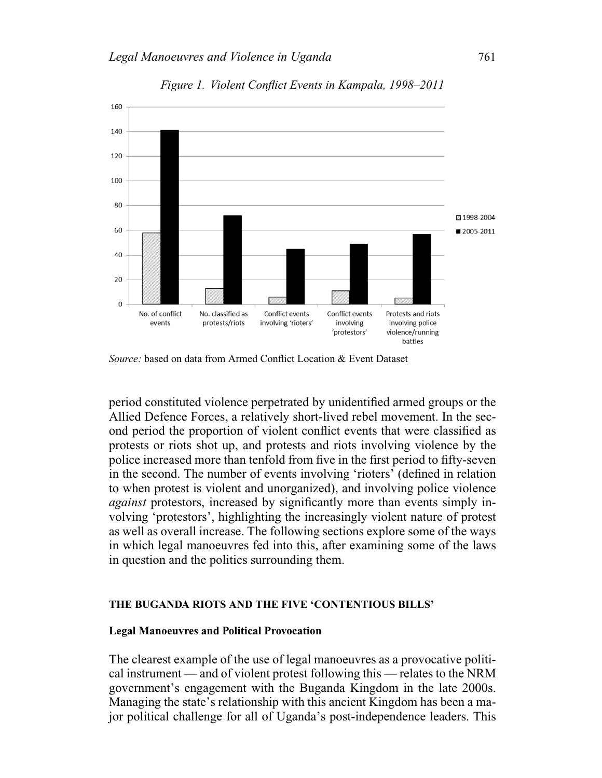

*Figure 1. Violent Conflict Events in Kampala, 1998–2011*

*Source:* based on data from Armed Conflict Location & Event Dataset

period constituted violence perpetrated by unidentified armed groups or the Allied Defence Forces, a relatively short-lived rebel movement. In the second period the proportion of violent conflict events that were classified as protests or riots shot up, and protests and riots involving violence by the police increased more than tenfold from five in the first period to fifty-seven in the second. The number of events involving 'rioters' (defined in relation to when protest is violent and unorganized), and involving police violence *against* protestors, increased by significantly more than events simply involving 'protestors', highlighting the increasingly violent nature of protest as well as overall increase. The following sections explore some of the ways in which legal manoeuvres fed into this, after examining some of the laws in question and the politics surrounding them.

### **THE BUGANDA RIOTS AND THE FIVE 'CONTENTIOUS BILLS'**

### **Legal Manoeuvres and Political Provocation**

The clearest example of the use of legal manoeuvres as a provocative political instrument — and of violent protest following this — relates to the NRM government's engagement with the Buganda Kingdom in the late 2000s. Managing the state's relationship with this ancient Kingdom has been a major political challenge for all of Uganda's post-independence leaders. This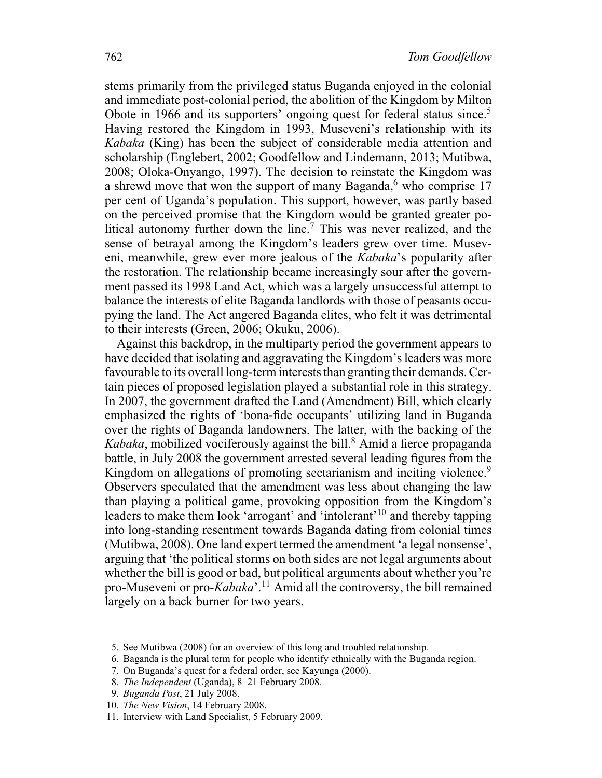stems primarily from the privileged status Buganda enjoyed in the colonial and immediate post-colonial period, the abolition of the Kingdom by Milton Obote in 1966 and its supporters' ongoing quest for federal status since.<sup>5</sup> Having restored the Kingdom in 1993, Museveni's relationship with its *Kabaka* (King) has been the subject of considerable media attention and scholarship (Englebert, 2002; Goodfellow and Lindemann, 2013; Mutibwa, 2008; Oloka-Onyango, 1997). The decision to reinstate the Kingdom was a shrewd move that won the support of many Baganda,<sup>6</sup> who comprise 17 per cent of Uganda's population. This support, however, was partly based on the perceived promise that the Kingdom would be granted greater political autonomy further down the line.<sup>7</sup> This was never realized, and the sense of betrayal among the Kingdom's leaders grew over time. Museveni, meanwhile, grew ever more jealous of the *Kabaka*'s popularity after the restoration. The relationship became increasingly sour after the government passed its 1998 Land Act, which was a largely unsuccessful attempt to balance the interests of elite Baganda landlords with those of peasants occupying the land. The Act angered Baganda elites, who felt it was detrimental to their interests (Green, 2006; Okuku, 2006).

Against this backdrop, in the multiparty period the government appears to have decided that isolating and aggravating the Kingdom's leaders was more favourable to its overall long-term interests than granting their demands. Certain pieces of proposed legislation played a substantial role in this strategy. In 2007, the government drafted the Land (Amendment) Bill, which clearly emphasized the rights of 'bona-fide occupants' utilizing land in Buganda over the rights of Baganda landowners. The latter, with the backing of the *Kabaka*, mobilized vociferously against the bill.<sup>8</sup> Amid a fierce propaganda battle, in July 2008 the government arrested several leading figures from the Kingdom on allegations of promoting sectarianism and inciting violence.<sup>9</sup> Observers speculated that the amendment was less about changing the law than playing a political game, provoking opposition from the Kingdom's leaders to make them look 'arrogant' and 'intolerant'10 and thereby tapping into long-standing resentment towards Baganda dating from colonial times (Mutibwa, 2008). One land expert termed the amendment 'a legal nonsense', arguing that 'the political storms on both sides are not legal arguments about whether the bill is good or bad, but political arguments about whether you're pro-Museveni or pro-*Kabaka*'.11 Amid all the controversy, the bill remained largely on a back burner for two years.

9. *Buganda Post*, 21 July 2008.

<sup>5.</sup> See Mutibwa (2008) for an overview of this long and troubled relationship.

<sup>6.</sup> Baganda is the plural term for people who identify ethnically with the Buganda region.

<sup>7.</sup> On Buganda's quest for a federal order, see Kayunga (2000).

<sup>8.</sup> *The Independent* (Uganda), 8–21 February 2008.

<sup>10.</sup> *The New Vision*, 14 February 2008.

<sup>11.</sup> Interview with Land Specialist, 5 February 2009.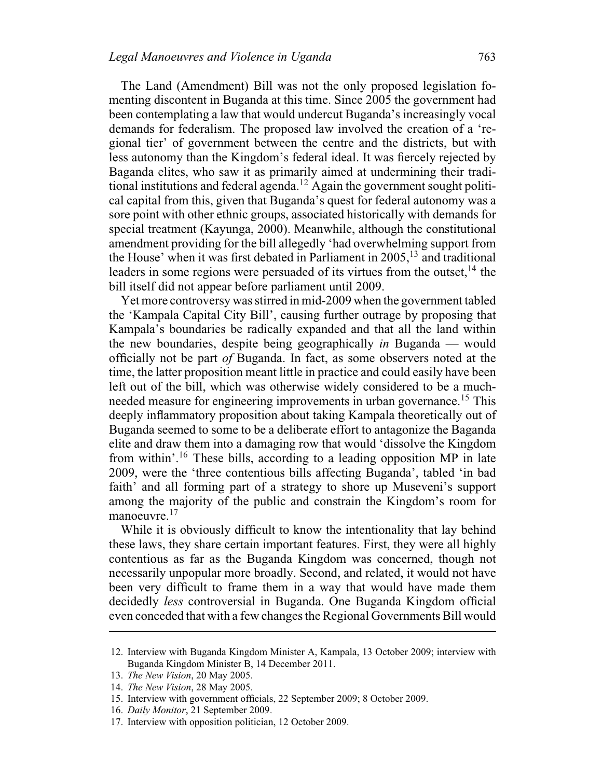The Land (Amendment) Bill was not the only proposed legislation fomenting discontent in Buganda at this time. Since 2005 the government had been contemplating a law that would undercut Buganda's increasingly vocal demands for federalism. The proposed law involved the creation of a 'regional tier' of government between the centre and the districts, but with less autonomy than the Kingdom's federal ideal. It was fiercely rejected by Baganda elites, who saw it as primarily aimed at undermining their traditional institutions and federal agenda.12 Again the government sought political capital from this, given that Buganda's quest for federal autonomy was a sore point with other ethnic groups, associated historically with demands for special treatment (Kayunga, 2000). Meanwhile, although the constitutional amendment providing for the bill allegedly 'had overwhelming support from the House' when it was first debated in Parliament in  $2005$ ,  $^{13}$  and traditional leaders in some regions were persuaded of its virtues from the outset,  $^{14}$  the bill itself did not appear before parliament until 2009.

Yet more controversy was stirred in mid-2009 when the government tabled the 'Kampala Capital City Bill', causing further outrage by proposing that Kampala's boundaries be radically expanded and that all the land within the new boundaries, despite being geographically *in* Buganda — would officially not be part *of* Buganda. In fact, as some observers noted at the time, the latter proposition meant little in practice and could easily have been left out of the bill, which was otherwise widely considered to be a muchneeded measure for engineering improvements in urban governance.<sup>15</sup> This deeply inflammatory proposition about taking Kampala theoretically out of Buganda seemed to some to be a deliberate effort to antagonize the Baganda elite and draw them into a damaging row that would 'dissolve the Kingdom from within'.16 These bills, according to a leading opposition MP in late 2009, were the 'three contentious bills affecting Buganda', tabled 'in bad faith' and all forming part of a strategy to shore up Museveni's support among the majority of the public and constrain the Kingdom's room for manoeuvre.<sup>17</sup>

While it is obviously difficult to know the intentionality that lay behind these laws, they share certain important features. First, they were all highly contentious as far as the Buganda Kingdom was concerned, though not necessarily unpopular more broadly. Second, and related, it would not have been very difficult to frame them in a way that would have made them decidedly *less* controversial in Buganda. One Buganda Kingdom official even conceded that with a few changes the Regional Governments Bill would

<sup>12.</sup> Interview with Buganda Kingdom Minister A, Kampala, 13 October 2009; interview with Buganda Kingdom Minister B, 14 December 2011.

<sup>13.</sup> *The New Vision*, 20 May 2005.

<sup>14.</sup> *The New Vision*, 28 May 2005.

<sup>15.</sup> Interview with government officials, 22 September 2009; 8 October 2009.

<sup>16.</sup> *Daily Monitor*, 21 September 2009.

<sup>17.</sup> Interview with opposition politician, 12 October 2009.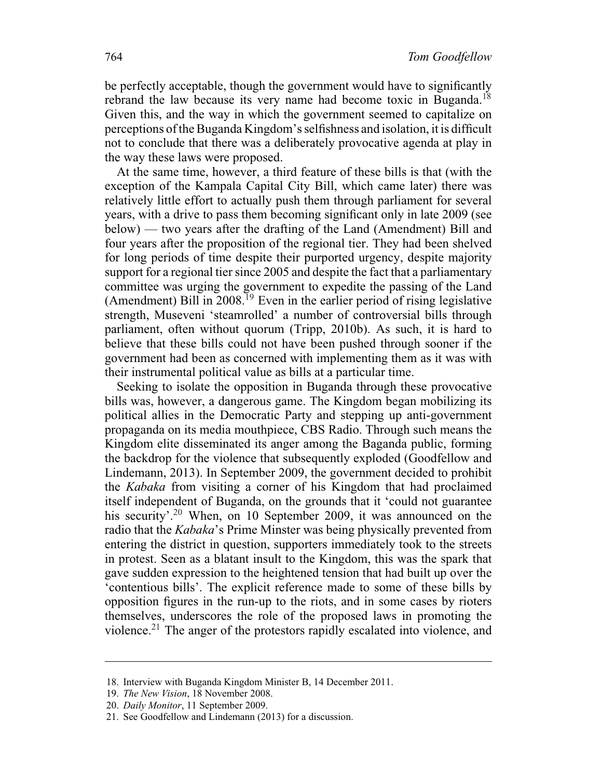be perfectly acceptable, though the government would have to significantly rebrand the law because its very name had become toxic in Buganda.<sup>18</sup> Given this, and the way in which the government seemed to capitalize on perceptions of the Buganda Kingdom's selfishness and isolation, it is difficult not to conclude that there was a deliberately provocative agenda at play in the way these laws were proposed.

At the same time, however, a third feature of these bills is that (with the exception of the Kampala Capital City Bill, which came later) there was relatively little effort to actually push them through parliament for several years, with a drive to pass them becoming significant only in late 2009 (see below) — two years after the drafting of the Land (Amendment) Bill and four years after the proposition of the regional tier. They had been shelved for long periods of time despite their purported urgency, despite majority support for a regional tier since 2005 and despite the fact that a parliamentary committee was urging the government to expedite the passing of the Land (Amendment) Bill in  $2008$ <sup>19</sup> Even in the earlier period of rising legislative strength, Museveni 'steamrolled' a number of controversial bills through parliament, often without quorum (Tripp, 2010b). As such, it is hard to believe that these bills could not have been pushed through sooner if the government had been as concerned with implementing them as it was with their instrumental political value as bills at a particular time.

Seeking to isolate the opposition in Buganda through these provocative bills was, however, a dangerous game. The Kingdom began mobilizing its political allies in the Democratic Party and stepping up anti-government propaganda on its media mouthpiece, CBS Radio. Through such means the Kingdom elite disseminated its anger among the Baganda public, forming the backdrop for the violence that subsequently exploded (Goodfellow and Lindemann, 2013). In September 2009, the government decided to prohibit the *Kabaka* from visiting a corner of his Kingdom that had proclaimed itself independent of Buganda, on the grounds that it 'could not guarantee his security'.<sup>20</sup> When, on 10 September 2009, it was announced on the radio that the *Kabaka*'s Prime Minster was being physically prevented from entering the district in question, supporters immediately took to the streets in protest. Seen as a blatant insult to the Kingdom, this was the spark that gave sudden expression to the heightened tension that had built up over the 'contentious bills'. The explicit reference made to some of these bills by opposition figures in the run-up to the riots, and in some cases by rioters themselves, underscores the role of the proposed laws in promoting the violence.21 The anger of the protestors rapidly escalated into violence, and

<sup>18.</sup> Interview with Buganda Kingdom Minister B, 14 December 2011.

<sup>19.</sup> *The New Vision*, 18 November 2008.

<sup>20.</sup> *Daily Monitor*, 11 September 2009.

<sup>21.</sup> See Goodfellow and Lindemann (2013) for a discussion.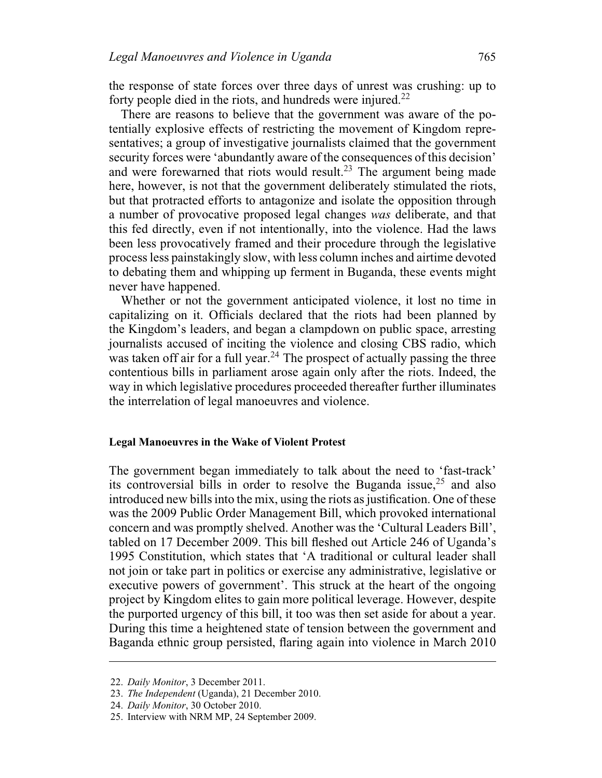the response of state forces over three days of unrest was crushing: up to forty people died in the riots, and hundreds were injured.<sup>22</sup>

There are reasons to believe that the government was aware of the potentially explosive effects of restricting the movement of Kingdom representatives; a group of investigative journalists claimed that the government security forces were 'abundantly aware of the consequences of this decision' and were forewarned that riots would result.<sup>23</sup> The argument being made here, however, is not that the government deliberately stimulated the riots, but that protracted efforts to antagonize and isolate the opposition through a number of provocative proposed legal changes *was* deliberate, and that this fed directly, even if not intentionally, into the violence. Had the laws been less provocatively framed and their procedure through the legislative process less painstakingly slow, with less column inches and airtime devoted to debating them and whipping up ferment in Buganda, these events might never have happened.

Whether or not the government anticipated violence, it lost no time in capitalizing on it. Officials declared that the riots had been planned by the Kingdom's leaders, and began a clampdown on public space, arresting journalists accused of inciting the violence and closing CBS radio, which was taken off air for a full year.<sup>24</sup> The prospect of actually passing the three contentious bills in parliament arose again only after the riots. Indeed, the way in which legislative procedures proceeded thereafter further illuminates the interrelation of legal manoeuvres and violence.

### **Legal Manoeuvres in the Wake of Violent Protest**

The government began immediately to talk about the need to 'fast-track' its controversial bills in order to resolve the Buganda issue,  $25$  and also introduced new bills into the mix, using the riots as justification. One of these was the 2009 Public Order Management Bill, which provoked international concern and was promptly shelved. Another was the 'Cultural Leaders Bill', tabled on 17 December 2009. This bill fleshed out Article 246 of Uganda's 1995 Constitution, which states that 'A traditional or cultural leader shall not join or take part in politics or exercise any administrative, legislative or executive powers of government'. This struck at the heart of the ongoing project by Kingdom elites to gain more political leverage. However, despite the purported urgency of this bill, it too was then set aside for about a year. During this time a heightened state of tension between the government and Baganda ethnic group persisted, flaring again into violence in March 2010

<sup>22.</sup> *Daily Monitor*, 3 December 2011.

<sup>23.</sup> *The Independent* (Uganda), 21 December 2010.

<sup>24.</sup> *Daily Monitor*, 30 October 2010.

<sup>25.</sup> Interview with NRM MP, 24 September 2009.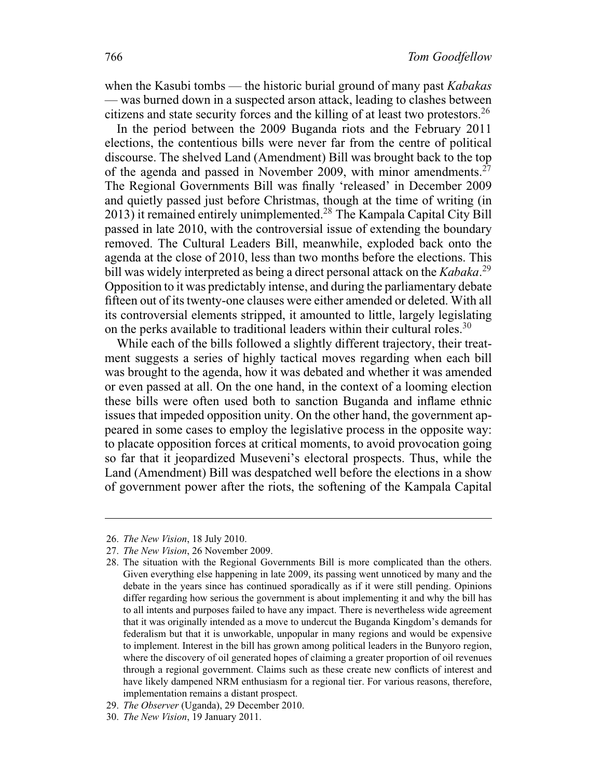when the Kasubi tombs — the historic burial ground of many past *Kabakas* — was burned down in a suspected arson attack, leading to clashes between citizens and state security forces and the killing of at least two protestors.26

In the period between the 2009 Buganda riots and the February 2011 elections, the contentious bills were never far from the centre of political discourse. The shelved Land (Amendment) Bill was brought back to the top of the agenda and passed in November 2009, with minor amendments.<sup>27</sup> The Regional Governments Bill was finally 'released' in December 2009 and quietly passed just before Christmas, though at the time of writing (in 2013) it remained entirely unimplemented.28 The Kampala Capital City Bill passed in late 2010, with the controversial issue of extending the boundary removed. The Cultural Leaders Bill, meanwhile, exploded back onto the agenda at the close of 2010, less than two months before the elections. This bill was widely interpreted as being a direct personal attack on the *Kabaka*. 29 Opposition to it was predictably intense, and during the parliamentary debate fifteen out of its twenty-one clauses were either amended or deleted. With all its controversial elements stripped, it amounted to little, largely legislating on the perks available to traditional leaders within their cultural roles.<sup>30</sup>

While each of the bills followed a slightly different trajectory, their treatment suggests a series of highly tactical moves regarding when each bill was brought to the agenda, how it was debated and whether it was amended or even passed at all. On the one hand, in the context of a looming election these bills were often used both to sanction Buganda and inflame ethnic issues that impeded opposition unity. On the other hand, the government appeared in some cases to employ the legislative process in the opposite way: to placate opposition forces at critical moments, to avoid provocation going so far that it jeopardized Museveni's electoral prospects. Thus, while the Land (Amendment) Bill was despatched well before the elections in a show of government power after the riots, the softening of the Kampala Capital

<sup>26.</sup> *The New Vision*, 18 July 2010.

<sup>27.</sup> *The New Vision*, 26 November 2009.

<sup>28.</sup> The situation with the Regional Governments Bill is more complicated than the others. Given everything else happening in late 2009, its passing went unnoticed by many and the debate in the years since has continued sporadically as if it were still pending. Opinions differ regarding how serious the government is about implementing it and why the bill has to all intents and purposes failed to have any impact. There is nevertheless wide agreement that it was originally intended as a move to undercut the Buganda Kingdom's demands for federalism but that it is unworkable, unpopular in many regions and would be expensive to implement. Interest in the bill has grown among political leaders in the Bunyoro region, where the discovery of oil generated hopes of claiming a greater proportion of oil revenues through a regional government. Claims such as these create new conflicts of interest and have likely dampened NRM enthusiasm for a regional tier. For various reasons, therefore, implementation remains a distant prospect.

<sup>29.</sup> *The Observer* (Uganda), 29 December 2010.

<sup>30.</sup> *The New Vision*, 19 January 2011.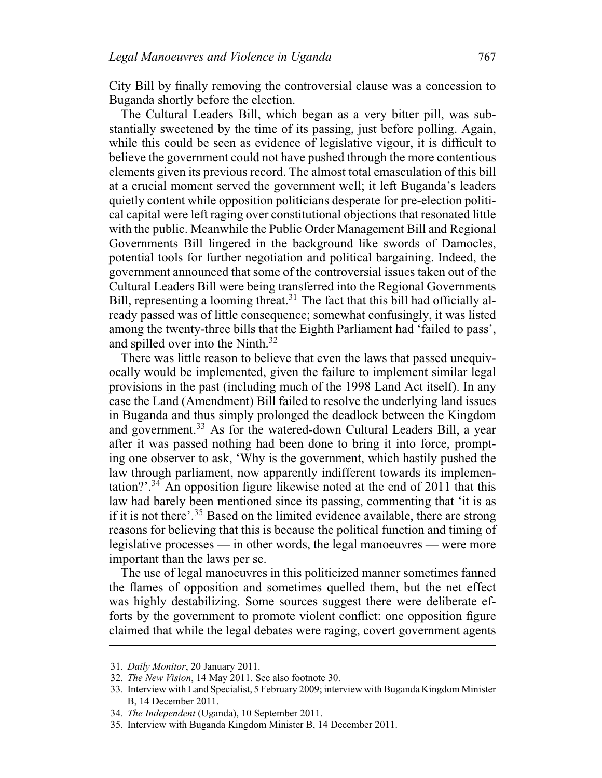City Bill by finally removing the controversial clause was a concession to Buganda shortly before the election.

The Cultural Leaders Bill, which began as a very bitter pill, was substantially sweetened by the time of its passing, just before polling. Again, while this could be seen as evidence of legislative vigour, it is difficult to believe the government could not have pushed through the more contentious elements given its previous record. The almost total emasculation of this bill at a crucial moment served the government well; it left Buganda's leaders quietly content while opposition politicians desperate for pre-election political capital were left raging over constitutional objections that resonated little with the public. Meanwhile the Public Order Management Bill and Regional Governments Bill lingered in the background like swords of Damocles, potential tools for further negotiation and political bargaining. Indeed, the government announced that some of the controversial issues taken out of the Cultural Leaders Bill were being transferred into the Regional Governments Bill, representing a looming threat.<sup>31</sup> The fact that this bill had officially already passed was of little consequence; somewhat confusingly, it was listed among the twenty-three bills that the Eighth Parliament had 'failed to pass', and spilled over into the Ninth.<sup>32</sup>

There was little reason to believe that even the laws that passed unequivocally would be implemented, given the failure to implement similar legal provisions in the past (including much of the 1998 Land Act itself). In any case the Land (Amendment) Bill failed to resolve the underlying land issues in Buganda and thus simply prolonged the deadlock between the Kingdom and government.<sup>33</sup> As for the watered-down Cultural Leaders Bill, a year after it was passed nothing had been done to bring it into force, prompting one observer to ask, 'Why is the government, which hastily pushed the law through parliament, now apparently indifferent towards its implementation?'.34 An opposition figure likewise noted at the end of 2011 that this law had barely been mentioned since its passing, commenting that 'it is as if it is not there'.35 Based on the limited evidence available, there are strong reasons for believing that this is because the political function and timing of legislative processes — in other words, the legal manoeuvres — were more important than the laws per se.

The use of legal manoeuvres in this politicized manner sometimes fanned the flames of opposition and sometimes quelled them, but the net effect was highly destabilizing. Some sources suggest there were deliberate efforts by the government to promote violent conflict: one opposition figure claimed that while the legal debates were raging, covert government agents

<sup>31.</sup> *Daily Monitor*, 20 January 2011.

<sup>32.</sup> *The New Vision*, 14 May 2011. See also footnote 30.

<sup>33.</sup> Interview with Land Specialist, 5 February 2009; interview with Buganda Kingdom Minister B, 14 December 2011.

<sup>34.</sup> *The Independent* (Uganda), 10 September 2011.

<sup>35.</sup> Interview with Buganda Kingdom Minister B, 14 December 2011.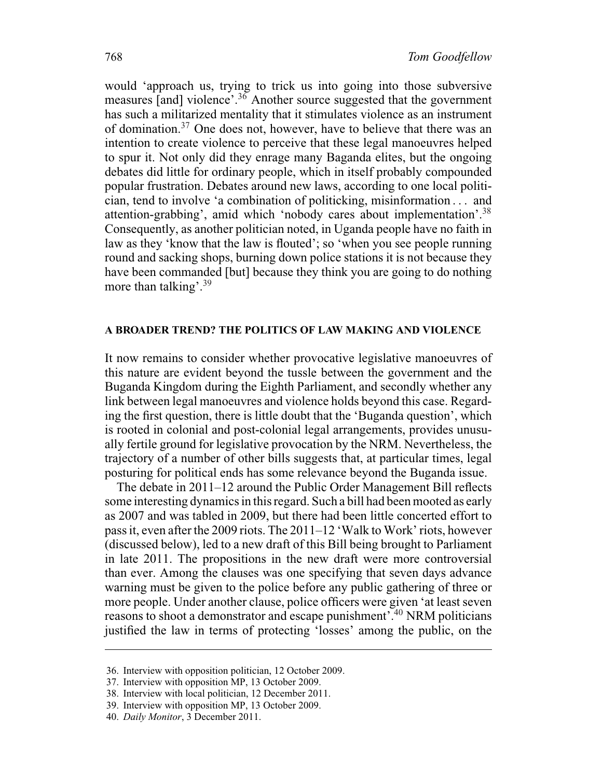would 'approach us, trying to trick us into going into those subversive measures [and] violence'.36 Another source suggested that the government has such a militarized mentality that it stimulates violence as an instrument of domination.<sup>37</sup> One does not, however, have to believe that there was an intention to create violence to perceive that these legal manoeuvres helped to spur it. Not only did they enrage many Baganda elites, but the ongoing debates did little for ordinary people, which in itself probably compounded popular frustration. Debates around new laws, according to one local politician, tend to involve 'a combination of politicking, misinformation . . . and attention-grabbing', amid which 'nobody cares about implementation'.38 Consequently, as another politician noted, in Uganda people have no faith in law as they 'know that the law is flouted'; so 'when you see people running round and sacking shops, burning down police stations it is not because they have been commanded [but] because they think you are going to do nothing more than talking'.<sup>39</sup>

## **A BROADER TREND? THE POLITICS OF LAW MAKING AND VIOLENCE**

It now remains to consider whether provocative legislative manoeuvres of this nature are evident beyond the tussle between the government and the Buganda Kingdom during the Eighth Parliament, and secondly whether any link between legal manoeuvres and violence holds beyond this case. Regarding the first question, there is little doubt that the 'Buganda question', which is rooted in colonial and post-colonial legal arrangements, provides unusually fertile ground for legislative provocation by the NRM. Nevertheless, the trajectory of a number of other bills suggests that, at particular times, legal posturing for political ends has some relevance beyond the Buganda issue.

The debate in 2011–12 around the Public Order Management Bill reflects some interesting dynamics in this regard. Such a bill had been mooted as early as 2007 and was tabled in 2009, but there had been little concerted effort to pass it, even after the 2009 riots. The 2011–12 'Walk to Work' riots, however (discussed below), led to a new draft of this Bill being brought to Parliament in late 2011. The propositions in the new draft were more controversial than ever. Among the clauses was one specifying that seven days advance warning must be given to the police before any public gathering of three or more people. Under another clause, police officers were given 'at least seven reasons to shoot a demonstrator and escape punishment'.40 NRM politicians justified the law in terms of protecting 'losses' among the public, on the

- 38. Interview with local politician, 12 December 2011.
- 39. Interview with opposition MP, 13 October 2009.
- 40. *Daily Monitor*, 3 December 2011.

<sup>36.</sup> Interview with opposition politician, 12 October 2009.

<sup>37.</sup> Interview with opposition MP, 13 October 2009.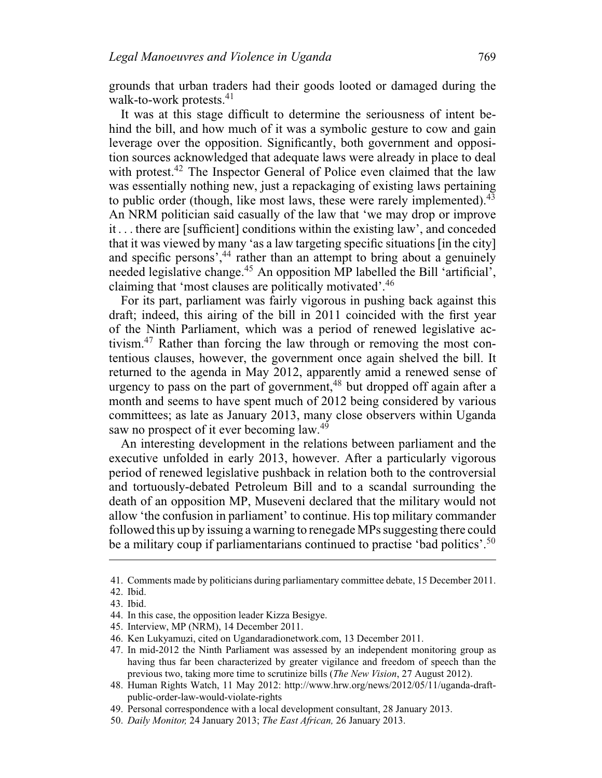grounds that urban traders had their goods looted or damaged during the walk-to-work protests. $41$ 

It was at this stage difficult to determine the seriousness of intent behind the bill, and how much of it was a symbolic gesture to cow and gain leverage over the opposition. Significantly, both government and opposition sources acknowledged that adequate laws were already in place to deal with protest.<sup>42</sup> The Inspector General of Police even claimed that the law was essentially nothing new, just a repackaging of existing laws pertaining to public order (though, like most laws, these were rarely implemented).  $43$ An NRM politician said casually of the law that 'we may drop or improve it . . . there are [sufficient] conditions within the existing law', and conceded that it was viewed by many 'as a law targeting specific situations [in the city] and specific persons', $44$  rather than an attempt to bring about a genuinely needed legislative change.<sup>45</sup> An opposition MP labelled the Bill 'artificial', claiming that 'most clauses are politically motivated'.46

For its part, parliament was fairly vigorous in pushing back against this draft; indeed, this airing of the bill in 2011 coincided with the first year of the Ninth Parliament, which was a period of renewed legislative activism.<sup>47</sup> Rather than forcing the law through or removing the most contentious clauses, however, the government once again shelved the bill. It returned to the agenda in May 2012, apparently amid a renewed sense of urgency to pass on the part of government,  $48$  but dropped off again after a month and seems to have spent much of 2012 being considered by various committees; as late as January 2013, many close observers within Uganda saw no prospect of it ever becoming law.<sup>49</sup>

An interesting development in the relations between parliament and the executive unfolded in early 2013, however. After a particularly vigorous period of renewed legislative pushback in relation both to the controversial and tortuously-debated Petroleum Bill and to a scandal surrounding the death of an opposition MP, Museveni declared that the military would not allow 'the confusion in parliament' to continue. His top military commander followed this up by issuing a warning to renegade MPs suggesting there could be a military coup if parliamentarians continued to practise 'bad politics'.<sup>50</sup>

45. Interview, MP (NRM), 14 December 2011.

<sup>41.</sup> Comments made by politicians during parliamentary committee debate, 15 December 2011.

<sup>42.</sup> Ibid.

<sup>43.</sup> Ibid.

<sup>44.</sup> In this case, the opposition leader Kizza Besigye.

<sup>46.</sup> Ken Lukyamuzi, cited on Ugandaradionetwork.com, 13 December 2011.

<sup>47.</sup> In mid-2012 the Ninth Parliament was assessed by an independent monitoring group as having thus far been characterized by greater vigilance and freedom of speech than the previous two, taking more time to scrutinize bills (*The New Vision*, 27 August 2012).

<sup>48.</sup> Human Rights Watch, 11 May 2012: http://www.hrw.org/news/2012/05/11/uganda-draftpublic-order-law-would-violate-rights

<sup>49.</sup> Personal correspondence with a local development consultant, 28 January 2013.

<sup>50.</sup> *Daily Monitor,* 24 January 2013; *The East African,* 26 January 2013.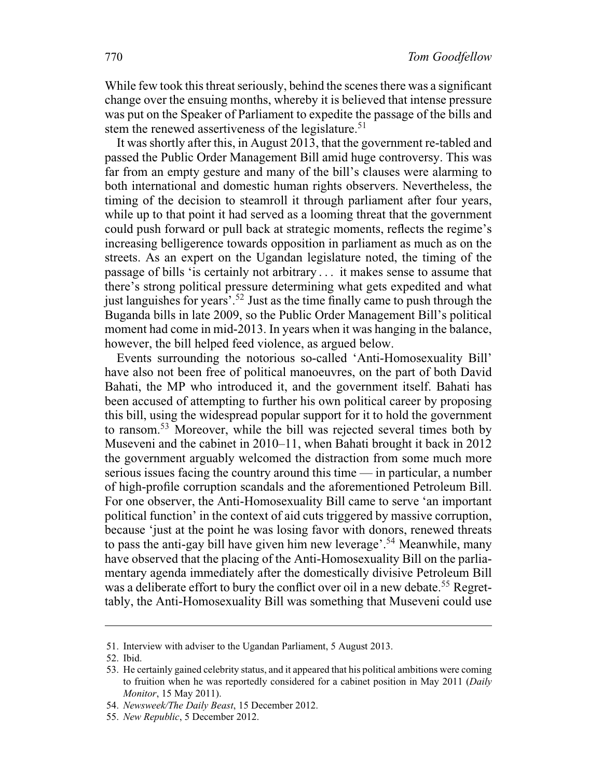While few took this threat seriously, behind the scenes there was a significant change over the ensuing months, whereby it is believed that intense pressure was put on the Speaker of Parliament to expedite the passage of the bills and stem the renewed assertiveness of the legislature.<sup>51</sup>

It was shortly after this, in August 2013, that the government re-tabled and passed the Public Order Management Bill amid huge controversy. This was far from an empty gesture and many of the bill's clauses were alarming to both international and domestic human rights observers. Nevertheless, the timing of the decision to steamroll it through parliament after four years, while up to that point it had served as a looming threat that the government could push forward or pull back at strategic moments, reflects the regime's increasing belligerence towards opposition in parliament as much as on the streets. As an expert on the Ugandan legislature noted, the timing of the passage of bills 'is certainly not arbitrary . . . it makes sense to assume that there's strong political pressure determining what gets expedited and what just languishes for years'.<sup>52</sup> Just as the time finally came to push through the Buganda bills in late 2009, so the Public Order Management Bill's political moment had come in mid-2013. In years when it was hanging in the balance, however, the bill helped feed violence, as argued below.

Events surrounding the notorious so-called 'Anti-Homosexuality Bill' have also not been free of political manoeuvres, on the part of both David Bahati, the MP who introduced it, and the government itself. Bahati has been accused of attempting to further his own political career by proposing this bill, using the widespread popular support for it to hold the government to ransom.53 Moreover, while the bill was rejected several times both by Museveni and the cabinet in 2010–11, when Bahati brought it back in 2012 the government arguably welcomed the distraction from some much more serious issues facing the country around this time — in particular, a number of high-profile corruption scandals and the aforementioned Petroleum Bill. For one observer, the Anti-Homosexuality Bill came to serve 'an important political function' in the context of aid cuts triggered by massive corruption, because 'just at the point he was losing favor with donors, renewed threats to pass the anti-gay bill have given him new leverage'.<sup>54</sup> Meanwhile, many have observed that the placing of the Anti-Homosexuality Bill on the parliamentary agenda immediately after the domestically divisive Petroleum Bill was a deliberate effort to bury the conflict over oil in a new debate.<sup>55</sup> Regrettably, the Anti-Homosexuality Bill was something that Museveni could use

<sup>51.</sup> Interview with adviser to the Ugandan Parliament, 5 August 2013.

<sup>52.</sup> Ibid.

<sup>53.</sup> He certainly gained celebrity status, and it appeared that his political ambitions were coming to fruition when he was reportedly considered for a cabinet position in May 2011 (*Daily Monitor*, 15 May 2011).

<sup>54.</sup> *Newsweek/The Daily Beast*, 15 December 2012.

<sup>55.</sup> *New Republic*, 5 December 2012.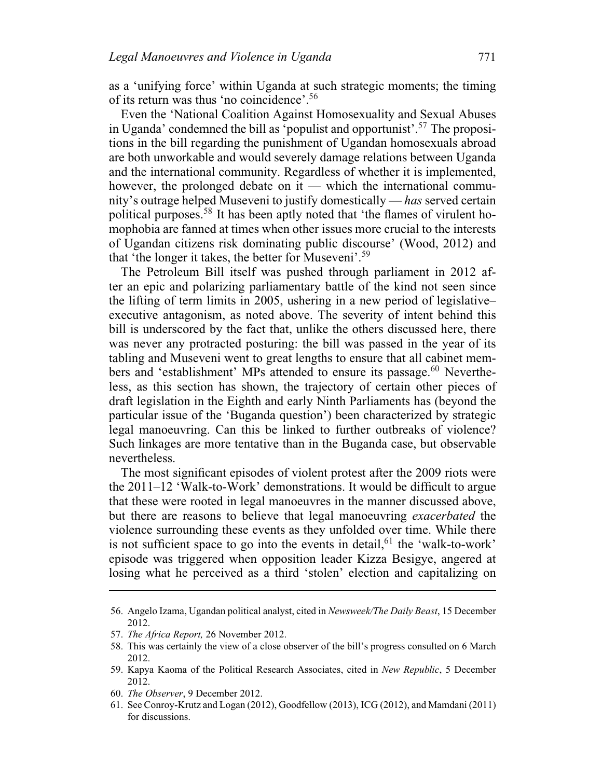as a 'unifying force' within Uganda at such strategic moments; the timing of its return was thus 'no coincidence'.56

Even the 'National Coalition Against Homosexuality and Sexual Abuses in Uganda' condemned the bill as 'populist and opportunist'.57 The propositions in the bill regarding the punishment of Ugandan homosexuals abroad are both unworkable and would severely damage relations between Uganda and the international community. Regardless of whether it is implemented, however, the prolonged debate on it — which the international community's outrage helped Museveni to justify domestically — *has* served certain political purposes.58 It has been aptly noted that 'the flames of virulent homophobia are fanned at times when other issues more crucial to the interests of Ugandan citizens risk dominating public discourse' (Wood, 2012) and that 'the longer it takes, the better for Museveni'.<sup>59</sup>

The Petroleum Bill itself was pushed through parliament in 2012 after an epic and polarizing parliamentary battle of the kind not seen since the lifting of term limits in 2005, ushering in a new period of legislative– executive antagonism, as noted above. The severity of intent behind this bill is underscored by the fact that, unlike the others discussed here, there was never any protracted posturing: the bill was passed in the year of its tabling and Museveni went to great lengths to ensure that all cabinet members and 'establishment' MPs attended to ensure its passage.<sup>60</sup> Nevertheless, as this section has shown, the trajectory of certain other pieces of draft legislation in the Eighth and early Ninth Parliaments has (beyond the particular issue of the 'Buganda question') been characterized by strategic legal manoeuvring. Can this be linked to further outbreaks of violence? Such linkages are more tentative than in the Buganda case, but observable nevertheless.

The most significant episodes of violent protest after the 2009 riots were the 2011–12 'Walk-to-Work' demonstrations. It would be difficult to argue that these were rooted in legal manoeuvres in the manner discussed above, but there are reasons to believe that legal manoeuvring *exacerbated* the violence surrounding these events as they unfolded over time. While there is not sufficient space to go into the events in detail,  $61$  the 'walk-to-work' episode was triggered when opposition leader Kizza Besigye, angered at losing what he perceived as a third 'stolen' election and capitalizing on

<sup>56.</sup> Angelo Izama, Ugandan political analyst, cited in *Newsweek/The Daily Beast*, 15 December 2012.

<sup>57.</sup> *The Africa Report,* 26 November 2012.

<sup>58.</sup> This was certainly the view of a close observer of the bill's progress consulted on 6 March 2012.

<sup>59.</sup> Kapya Kaoma of the Political Research Associates, cited in *New Republic*, 5 December 2012.

<sup>60.</sup> *The Observer*, 9 December 2012.

<sup>61.</sup> See Conroy-Krutz and Logan (2012), Goodfellow (2013), ICG (2012), and Mamdani (2011) for discussions.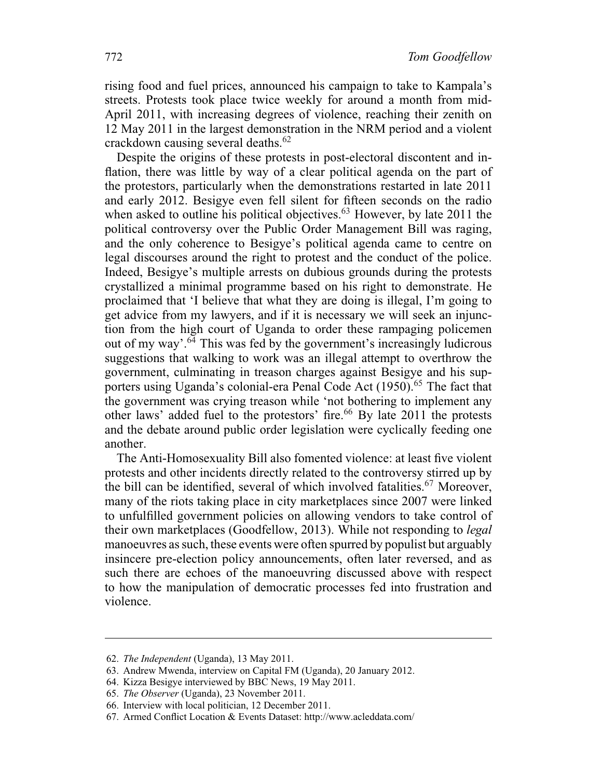rising food and fuel prices, announced his campaign to take to Kampala's streets. Protests took place twice weekly for around a month from mid-April 2011, with increasing degrees of violence, reaching their zenith on 12 May 2011 in the largest demonstration in the NRM period and a violent crackdown causing several deaths. $62$ 

Despite the origins of these protests in post-electoral discontent and inflation, there was little by way of a clear political agenda on the part of the protestors, particularly when the demonstrations restarted in late 2011 and early 2012. Besigye even fell silent for fifteen seconds on the radio when asked to outline his political objectives. $63$  However, by late 2011 the political controversy over the Public Order Management Bill was raging, and the only coherence to Besigye's political agenda came to centre on legal discourses around the right to protest and the conduct of the police. Indeed, Besigye's multiple arrests on dubious grounds during the protests crystallized a minimal programme based on his right to demonstrate. He proclaimed that 'I believe that what they are doing is illegal, I'm going to get advice from my lawyers, and if it is necessary we will seek an injunction from the high court of Uganda to order these rampaging policemen out of my way'.64 This was fed by the government's increasingly ludicrous suggestions that walking to work was an illegal attempt to overthrow the government, culminating in treason charges against Besigye and his supporters using Uganda's colonial-era Penal Code Act (1950).<sup>65</sup> The fact that the government was crying treason while 'not bothering to implement any other laws' added fuel to the protestors' fire.<sup>66</sup> By late 2011 the protests and the debate around public order legislation were cyclically feeding one another.

The Anti-Homosexuality Bill also fomented violence: at least five violent protests and other incidents directly related to the controversy stirred up by the bill can be identified, several of which involved fatalities.<sup>67</sup> Moreover, many of the riots taking place in city marketplaces since 2007 were linked to unfulfilled government policies on allowing vendors to take control of their own marketplaces (Goodfellow, 2013). While not responding to *legal* manoeuvres as such, these events were often spurred by populist but arguably insincere pre-election policy announcements, often later reversed, and as such there are echoes of the manoeuvring discussed above with respect to how the manipulation of democratic processes fed into frustration and violence.

<sup>62.</sup> *The Independent* (Uganda), 13 May 2011.

<sup>63.</sup> Andrew Mwenda, interview on Capital FM (Uganda), 20 January 2012.

<sup>64.</sup> Kizza Besigye interviewed by BBC News, 19 May 2011.

<sup>65.</sup> *The Observer* (Uganda), 23 November 2011.

<sup>66.</sup> Interview with local politician, 12 December 2011.

<sup>67.</sup> Armed Conflict Location & Events Dataset: http://www.acleddata.com/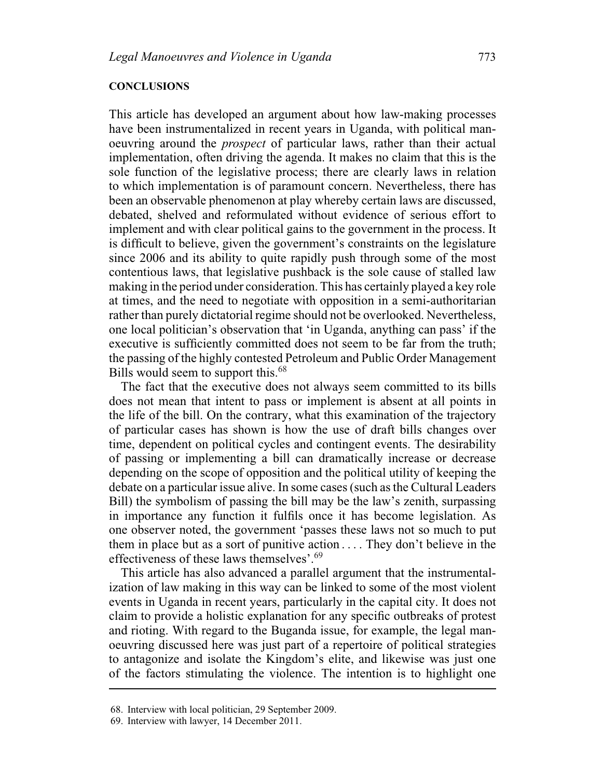## **CONCLUSIONS**

This article has developed an argument about how law-making processes have been instrumentalized in recent years in Uganda, with political manoeuvring around the *prospect* of particular laws, rather than their actual implementation, often driving the agenda. It makes no claim that this is the sole function of the legislative process; there are clearly laws in relation to which implementation is of paramount concern. Nevertheless, there has been an observable phenomenon at play whereby certain laws are discussed, debated, shelved and reformulated without evidence of serious effort to implement and with clear political gains to the government in the process. It is difficult to believe, given the government's constraints on the legislature since 2006 and its ability to quite rapidly push through some of the most contentious laws, that legislative pushback is the sole cause of stalled law making in the period under consideration. This has certainly played a key role at times, and the need to negotiate with opposition in a semi-authoritarian rather than purely dictatorial regime should not be overlooked. Nevertheless, one local politician's observation that 'in Uganda, anything can pass' if the executive is sufficiently committed does not seem to be far from the truth; the passing of the highly contested Petroleum and Public Order Management Bills would seem to support this.<sup>68</sup>

The fact that the executive does not always seem committed to its bills does not mean that intent to pass or implement is absent at all points in the life of the bill. On the contrary, what this examination of the trajectory of particular cases has shown is how the use of draft bills changes over time, dependent on political cycles and contingent events. The desirability of passing or implementing a bill can dramatically increase or decrease depending on the scope of opposition and the political utility of keeping the debate on a particular issue alive. In some cases (such as the Cultural Leaders Bill) the symbolism of passing the bill may be the law's zenith, surpassing in importance any function it fulfils once it has become legislation. As one observer noted, the government 'passes these laws not so much to put them in place but as a sort of punitive action . . . . They don't believe in the effectiveness of these laws themselves'.<sup>69</sup>

This article has also advanced a parallel argument that the instrumentalization of law making in this way can be linked to some of the most violent events in Uganda in recent years, particularly in the capital city. It does not claim to provide a holistic explanation for any specific outbreaks of protest and rioting. With regard to the Buganda issue, for example, the legal manoeuvring discussed here was just part of a repertoire of political strategies to antagonize and isolate the Kingdom's elite, and likewise was just one of the factors stimulating the violence. The intention is to highlight one

<sup>68.</sup> Interview with local politician, 29 September 2009.

<sup>69.</sup> Interview with lawyer, 14 December 2011.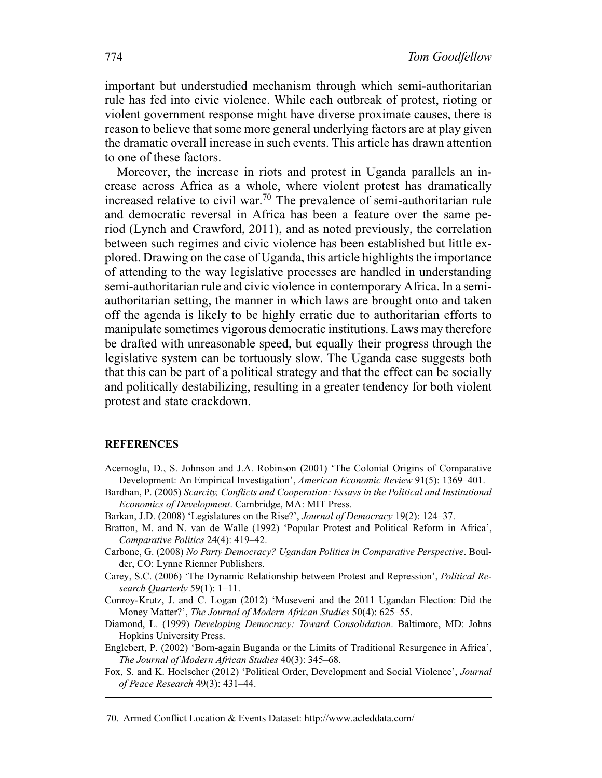important but understudied mechanism through which semi-authoritarian rule has fed into civic violence. While each outbreak of protest, rioting or violent government response might have diverse proximate causes, there is reason to believe that some more general underlying factors are at play given the dramatic overall increase in such events. This article has drawn attention to one of these factors.

Moreover, the increase in riots and protest in Uganda parallels an increase across Africa as a whole, where violent protest has dramatically increased relative to civil war.<sup>70</sup> The prevalence of semi-authoritarian rule and democratic reversal in Africa has been a feature over the same period (Lynch and Crawford, 2011), and as noted previously, the correlation between such regimes and civic violence has been established but little explored. Drawing on the case of Uganda, this article highlights the importance of attending to the way legislative processes are handled in understanding semi-authoritarian rule and civic violence in contemporary Africa. In a semiauthoritarian setting, the manner in which laws are brought onto and taken off the agenda is likely to be highly erratic due to authoritarian efforts to manipulate sometimes vigorous democratic institutions. Laws may therefore be drafted with unreasonable speed, but equally their progress through the legislative system can be tortuously slow. The Uganda case suggests both that this can be part of a political strategy and that the effect can be socially and politically destabilizing, resulting in a greater tendency for both violent protest and state crackdown.

### **REFERENCES**

- Acemoglu, D., S. Johnson and J.A. Robinson (2001) 'The Colonial Origins of Comparative Development: An Empirical Investigation', *American Economic Review* 91(5): 1369–401.
- Bardhan, P. (2005) *Scarcity, Conflicts and Cooperation: Essays in the Political and Institutional Economics of Development*. Cambridge, MA: MIT Press.
- Barkan, J.D. (2008) 'Legislatures on the Rise?', *Journal of Democracy* 19(2): 124–37.
- Bratton, M. and N. van de Walle (1992) 'Popular Protest and Political Reform in Africa', *Comparative Politics* 24(4): 419–42.
- Carbone, G. (2008) *No Party Democracy? Ugandan Politics in Comparative Perspective*. Boulder, CO: Lynne Rienner Publishers.
- Carey, S.C. (2006) 'The Dynamic Relationship between Protest and Repression', *Political Research Quarterly* 59(1): 1–11.
- Conroy-Krutz, J. and C. Logan (2012) 'Museveni and the 2011 Ugandan Election: Did the Money Matter?', *The Journal of Modern African Studies* 50(4): 625–55.
- Diamond, L. (1999) *Developing Democracy: Toward Consolidation*. Baltimore, MD: Johns Hopkins University Press.
- Englebert, P. (2002) 'Born-again Buganda or the Limits of Traditional Resurgence in Africa', *The Journal of Modern African Studies* 40(3): 345–68.
- Fox, S. and K. Hoelscher (2012) 'Political Order, Development and Social Violence', *Journal of Peace Research* 49(3): 431–44.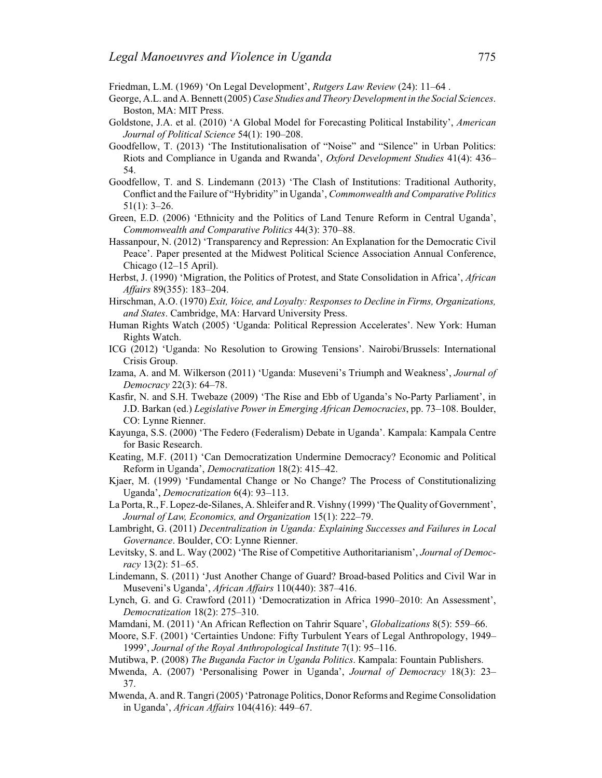- Friedman, L.M. (1969) 'On Legal Development', *Rutgers Law Review* (24): 11–64 .
- George, A.L. and A. Bennett (2005)*Case Studies and Theory Development in the Social Sciences*. Boston, MA: MIT Press.
- Goldstone, J.A. et al. (2010) 'A Global Model for Forecasting Political Instability', *American Journal of Political Science* 54(1): 190–208.
- Goodfellow, T. (2013) 'The Institutionalisation of "Noise" and "Silence" in Urban Politics: Riots and Compliance in Uganda and Rwanda', *Oxford Development Studies* 41(4): 436– 54.
- Goodfellow, T. and S. Lindemann (2013) 'The Clash of Institutions: Traditional Authority, Conflict and the Failure of "Hybridity" in Uganda', *Commonwealth and Comparative Politics* 51(1): 3–26.
- Green, E.D. (2006) 'Ethnicity and the Politics of Land Tenure Reform in Central Uganda', *Commonwealth and Comparative Politics* 44(3): 370–88.
- Hassanpour, N. (2012) 'Transparency and Repression: An Explanation for the Democratic Civil Peace'. Paper presented at the Midwest Political Science Association Annual Conference, Chicago (12–15 April).
- Herbst, J. (1990) 'Migration, the Politics of Protest, and State Consolidation in Africa', *African Affairs* 89(355): 183–204.
- Hirschman, A.O. (1970) *Exit, Voice, and Loyalty: Responses to Decline in Firms, Organizations, and States*. Cambridge, MA: Harvard University Press.
- Human Rights Watch (2005) 'Uganda: Political Repression Accelerates'. New York: Human Rights Watch.
- ICG (2012) 'Uganda: No Resolution to Growing Tensions'. Nairobi/Brussels: International Crisis Group.
- Izama, A. and M. Wilkerson (2011) 'Uganda: Museveni's Triumph and Weakness', *Journal of Democracy* 22(3): 64–78.
- Kasfir, N. and S.H. Twebaze (2009) 'The Rise and Ebb of Uganda's No-Party Parliament', in J.D. Barkan (ed.) *Legislative Power in Emerging African Democracies*, pp. 73–108. Boulder, CO: Lynne Rienner.
- Kayunga, S.S. (2000) 'The Federo (Federalism) Debate in Uganda'. Kampala: Kampala Centre for Basic Research.
- Keating, M.F. (2011) 'Can Democratization Undermine Democracy? Economic and Political Reform in Uganda', *Democratization* 18(2): 415–42.
- Kjaer, M. (1999) 'Fundamental Change or No Change? The Process of Constitutionalizing Uganda', *Democratization* 6(4): 93–113.
- La Porta, R., F. Lopez-de-Silanes, A. Shleifer and R. Vishny (1999) 'The Quality of Government', *Journal of Law, Economics, and Organization* 15(1): 222–79.
- Lambright, G. (2011) *Decentralization in Uganda: Explaining Successes and Failures in Local Governance*. Boulder, CO: Lynne Rienner.
- Levitsky, S. and L. Way (2002) 'The Rise of Competitive Authoritarianism', *Journal of Democracy* 13(2): 51–65.
- Lindemann, S. (2011) 'Just Another Change of Guard? Broad-based Politics and Civil War in Museveni's Uganda', *African Affairs* 110(440): 387–416.
- Lynch, G. and G. Crawford (2011) 'Democratization in Africa 1990–2010: An Assessment', *Democratization* 18(2): 275–310.
- Mamdani, M. (2011) 'An African Reflection on Tahrir Square', *Globalizations* 8(5): 559–66.
- Moore, S.F. (2001) 'Certainties Undone: Fifty Turbulent Years of Legal Anthropology, 1949– 1999', *Journal of the Royal Anthropological Institute* 7(1): 95–116.
- Mutibwa, P. (2008) *The Buganda Factor in Uganda Politics*. Kampala: Fountain Publishers.
- Mwenda, A. (2007) 'Personalising Power in Uganda', *Journal of Democracy* 18(3): 23– 37.
- Mwenda, A. and R. Tangri (2005) 'Patronage Politics, Donor Reforms and Regime Consolidation in Uganda', *African Affairs* 104(416): 449–67.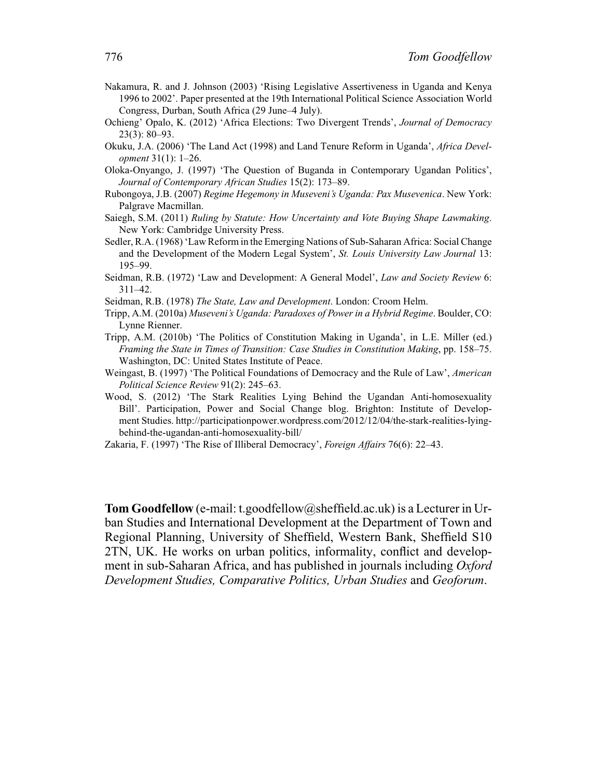- Nakamura, R. and J. Johnson (2003) 'Rising Legislative Assertiveness in Uganda and Kenya 1996 to 2002'. Paper presented at the 19th International Political Science Association World Congress, Durban, South Africa (29 June–4 July).
- Ochieng' Opalo, K. (2012) 'Africa Elections: Two Divergent Trends', *Journal of Democracy* 23(3): 80–93.
- Okuku, J.A. (2006) 'The Land Act (1998) and Land Tenure Reform in Uganda', *Africa Development* 31(1): 1–26.
- Oloka-Onyango, J. (1997) 'The Question of Buganda in Contemporary Ugandan Politics', *Journal of Contemporary African Studies* 15(2): 173–89.
- Rubongoya, J.B. (2007) *Regime Hegemony in Museveni's Uganda: Pax Musevenica*. New York: Palgrave Macmillan.
- Saiegh, S.M. (2011) *Ruling by Statute: How Uncertainty and Vote Buying Shape Lawmaking*. New York: Cambridge University Press.
- Sedler, R.A. (1968) 'Law Reform in the Emerging Nations of Sub-Saharan Africa: Social Change and the Development of the Modern Legal System', *St. Louis University Law Journal* 13: 195–99.
- Seidman, R.B. (1972) 'Law and Development: A General Model', *Law and Society Review* 6: 311–42.
- Seidman, R.B. (1978) *The State, Law and Development*. London: Croom Helm.
- Tripp, A.M. (2010a) *Museveni's Uganda: Paradoxes of Power in a Hybrid Regime*. Boulder, CO: Lynne Rienner.
- Tripp, A.M. (2010b) 'The Politics of Constitution Making in Uganda', in L.E. Miller (ed.) *Framing the State in Times of Transition: Case Studies in Constitution Making*, pp. 158–75. Washington, DC: United States Institute of Peace.
- Weingast, B. (1997) 'The Political Foundations of Democracy and the Rule of Law', *American Political Science Review* 91(2): 245–63.
- Wood, S. (2012) 'The Stark Realities Lying Behind the Ugandan Anti-homosexuality Bill'. Participation, Power and Social Change blog. Brighton: Institute of Development Studies. http://participationpower.wordpress.com/2012/12/04/the-stark-realities-lyingbehind-the-ugandan-anti-homosexuality-bill/
- Zakaria, F. (1997) 'The Rise of Illiberal Democracy', *Foreign Affairs* 76(6): 22–43.

**Tom Goodfellow** (e-mail: t.goodfellow@sheffield.ac.uk) is a Lecturer in Urban Studies and International Development at the Department of Town and Regional Planning, University of Sheffield, Western Bank, Sheffield S10 2TN, UK. He works on urban politics, informality, conflict and development in sub-Saharan Africa, and has published in journals including *Oxford Development Studies, Comparative Politics, Urban Studies* and *Geoforum*.